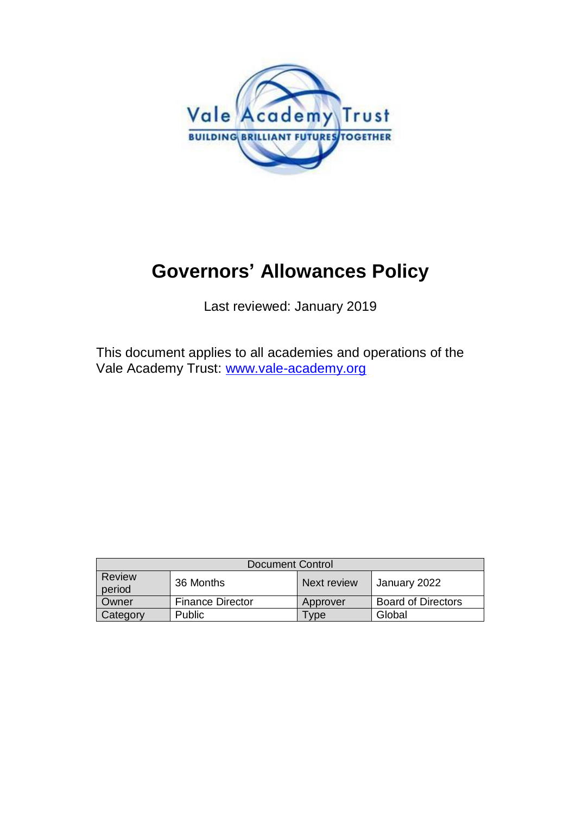

# **Governors' Allowances Policy**

Last reviewed: January 2019

This document applies to all academies and operations of the Vale Academy Trust: [www.vale-academy.org](http://www.vale-academy.org/)

| Document Control |                         |             |                           |
|------------------|-------------------------|-------------|---------------------------|
| Review<br>period | 36 Months               | Next review | January 2022              |
| Owner            | <b>Finance Director</b> | Approver    | <b>Board of Directors</b> |
| Category         | <b>Public</b>           | vpe         | Global                    |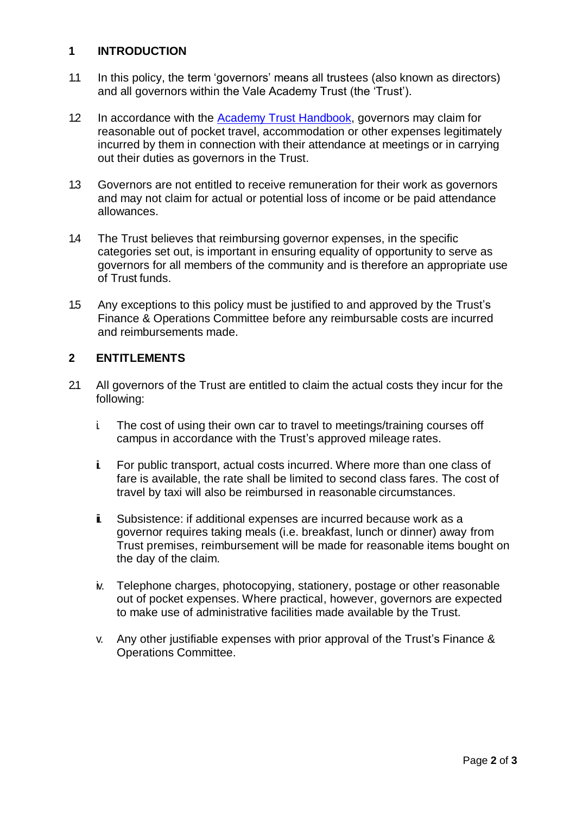#### **1 INTRODUCTION**

- 1.1 In this policy, the term 'governors' means all trustees (also known as directors) and all governors within the Vale Academy Trust (the 'Trust').
- 1.2 In accordance with the Academy Trust [Handbook,](https://www.gov.uk/government/publications/academies-financial-handbook) governors may claim for reasonable out of pocket travel, accommodation or other expenses legitimately incurred by them in connection with their attendance at meetings or in carrying out their duties as governors in the Trust.
- 1.3 Governors are not entitled to receive remuneration for their work as governors and may not claim for actual or potential loss of income or be paid attendance allowances.
- 1.4 The Trust believes that reimbursing governor expenses, in the specific categories set out, is important in ensuring equality of opportunity to serve as governors for all members of the community and is therefore an appropriate use of Trust funds.
- 1.5 Any exceptions to this policy must be justified to and approved by the Trust's Finance & Operations Committee before any reimbursable costs are incurred and reimbursements made.

### **2 ENTITLEMENTS**

- 21 All governors of the Trust are entitled to claim the actual costs they incur for the following:
	- i. The cost of using their own car to travel to meetings/training courses off campus in accordance with the Trust's approved mileage rates.
	- i. For public transport, actual costs incurred. Where more than one class of fare is available, the rate shall be limited to second class fares. The cost of travel by taxi will also be reimbursed in reasonable circumstances.
	- i. Subsistence: if additional expenses are incurred because work as a governor requires taking meals (i.e. breakfast, lunch or dinner) away from Trust premises, reimbursement will be made for reasonable items bought on the day of the claim.
	- iv. Telephone charges, photocopying, stationery, postage or other reasonable out of pocket expenses. Where practical, however, governors are expected to make use of administrative facilities made available by the Trust.
	- v. Any other justifiable expenses with prior approval of the Trust's Finance & Operations Committee.